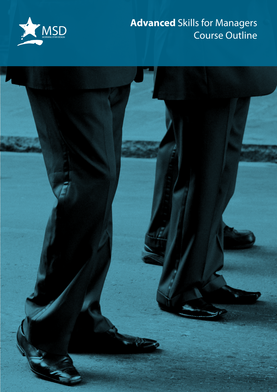

## **Advanced** Skills for Managers Course Outline